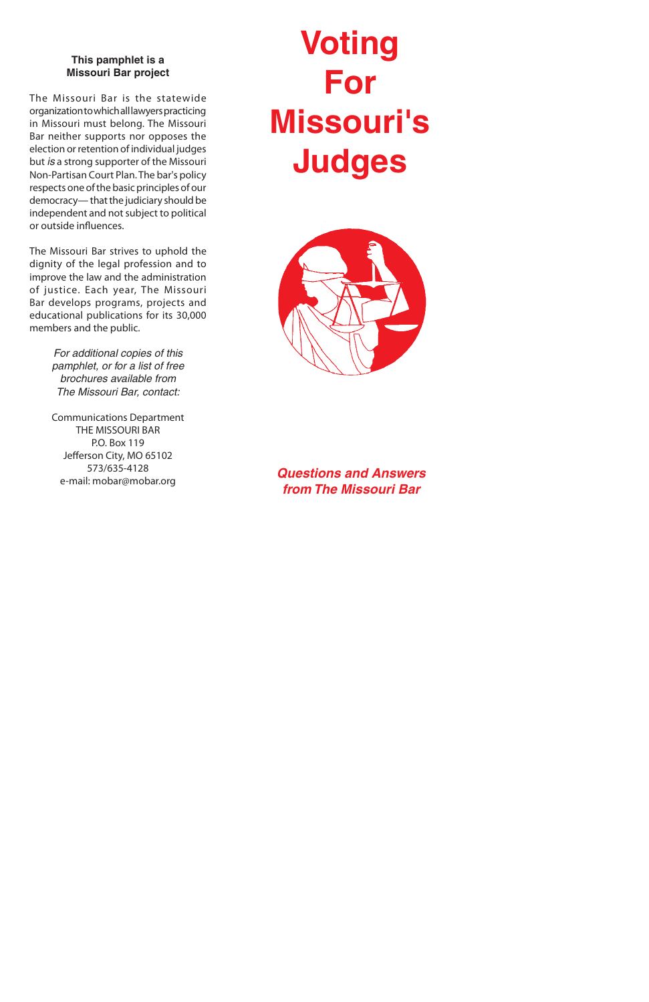#### **This pamphlet is a Missouri Bar project**

The Missouri Bar is the statewide organization to which all lawyers practicing in Missouri must belong. The Missouri Bar neither supports nor opposes the election or retention of individual judges but *is* a strong supporter of the Missouri Non-Partisan Court Plan. The bar's policy respects one of the basic principles of our democracy— that the judiciary should be independent and not subject to political or outside influences.

The Missouri Bar strives to uphold the dignity of the legal profession and to improve the law and the administration of justice. Each year, The Missouri Bar develops programs, projects and educational publications for its 30,000 members and the public.

> *For additional copies of this pamphlet, or for a list of free brochures available from The Missouri Bar, contact:*

> Communications Department THE MISSOURI BAR P.O. Box 119 Jefferson City, MO 65102 573/635-4128 e-mail: mobar@mobar.org

# **Voting For Missouri's Judges**



*Questions and Answers from The Missouri Bar*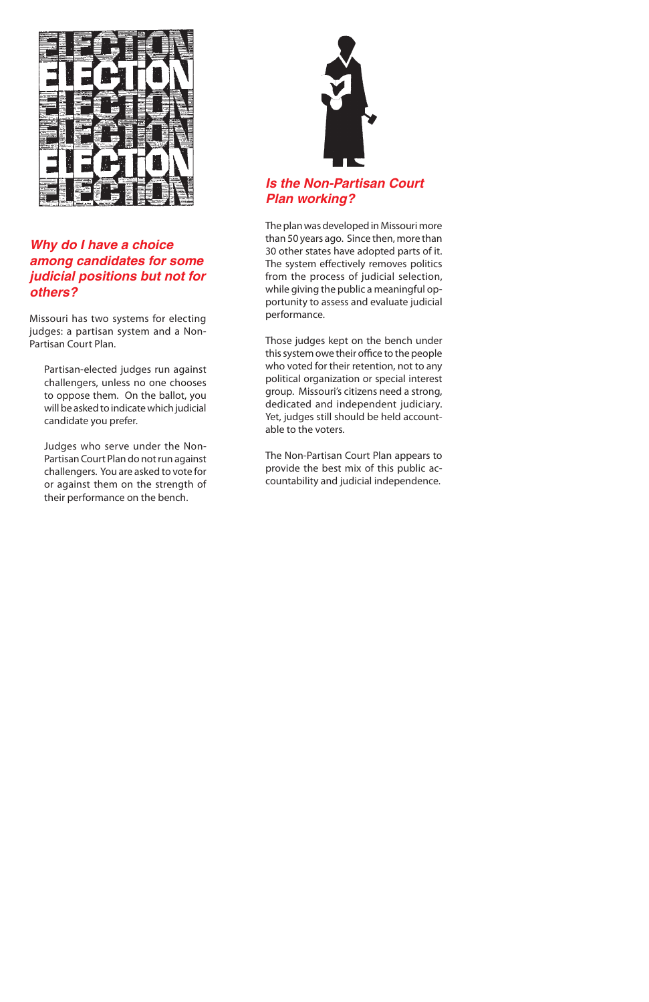

#### *Why do I have a choice among candidates for some judicial positions but not for others?*

Missouri has two systems for electing judges: a partisan system and a Non-Partisan Court Plan.

Partisan-elected judges run against challengers, unless no one chooses to oppose them. On the ballot, you will be asked to indicate which judicial candidate you prefer.

Judges who serve under the Non-Partisan Court Plan do not run against challengers. You are asked to vote for or against them on the strength of their performance on the bench.



# *Is the Non-Partisan Court Plan working?*

The plan was developed in Missouri more than 50 years ago. Since then, more than 30 other states have adopted parts of it. The system effectively removes politics from the process of judicial selection, while giving the public a meaningful opportunity to assess and evaluate judicial performance.

Those judges kept on the bench under this system owe their office to the people who voted for their retention, not to any political organization or special interest group. Missouri's citizens need a strong, dedicated and independent judiciary. Yet, judges still should be held accountable to the voters.

The Non-Partisan Court Plan appears to provide the best mix of this public accountability and judicial independence.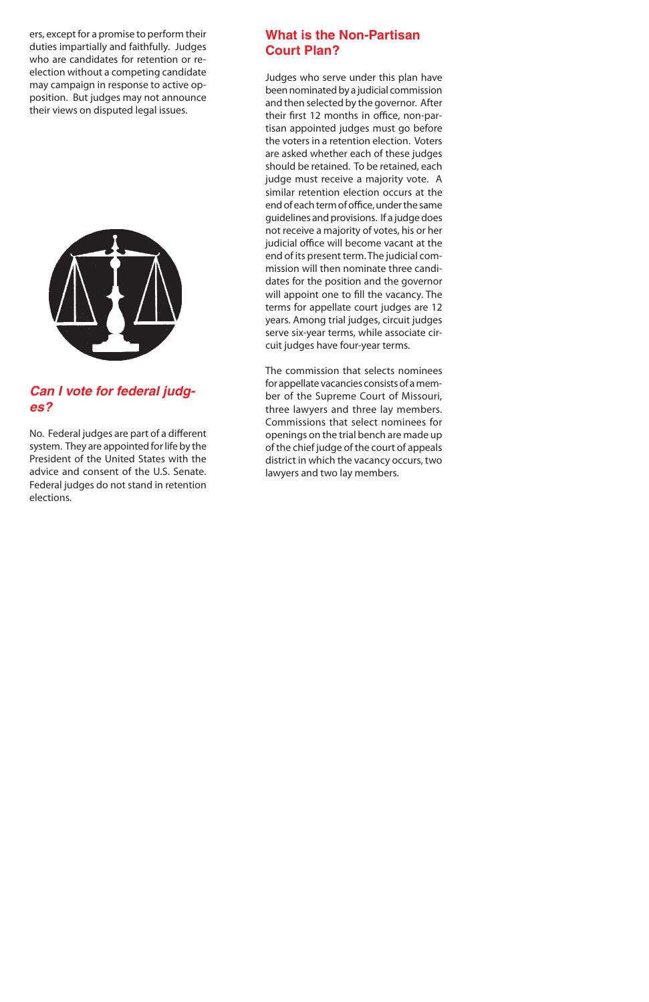#### **What is the Non-Partisan Court Plan?**

Judges who serve under this plan have been nominated by a judicial commission and then selected by the governor. After their first 12 months in office, non-partisan appointed judges must go before the voters in a retention election. Voters are asked whether each of these judges should be retained. To be retained, each judge must receive a majority vote. A similar retention election occurs at the end of each term of office, under the same guidelines and provisions. If a judge does not receive a majority of votes, his or her judicial office will become vacant at the end of its present term. The judicial commission will then nominate three candidates for the position and the governor will appoint one to fill the vacancy. The terms for appellate court judges are 12 years. Among trial judges, circuit judges serve six-year terms, while associate circuit judges have four-year terms.

The commission that selects nominees for appellate vacancies consists of a member of the Supreme Court of Missouri, three lawyers and three lay members. Commissions that select nominees for openings on the trial bench are made up of the chief judge of the court of appeals district in which the vacancy occurs, two lawyers and two lay members.

ers, except for a promise to perform their duties impartially and faithfully. Judges who are candidates for retention or reelection without a competing candidate may campaign in response to active opposition. But judges may not announce their views on disputed legal issues.



# *Can I vote for federal judges?*

No. Federal judges are part of a different system. They are appointed for life by the President of the United States with the advice and consent of the U.S. Senate. Federal judges do not stand in retention elections.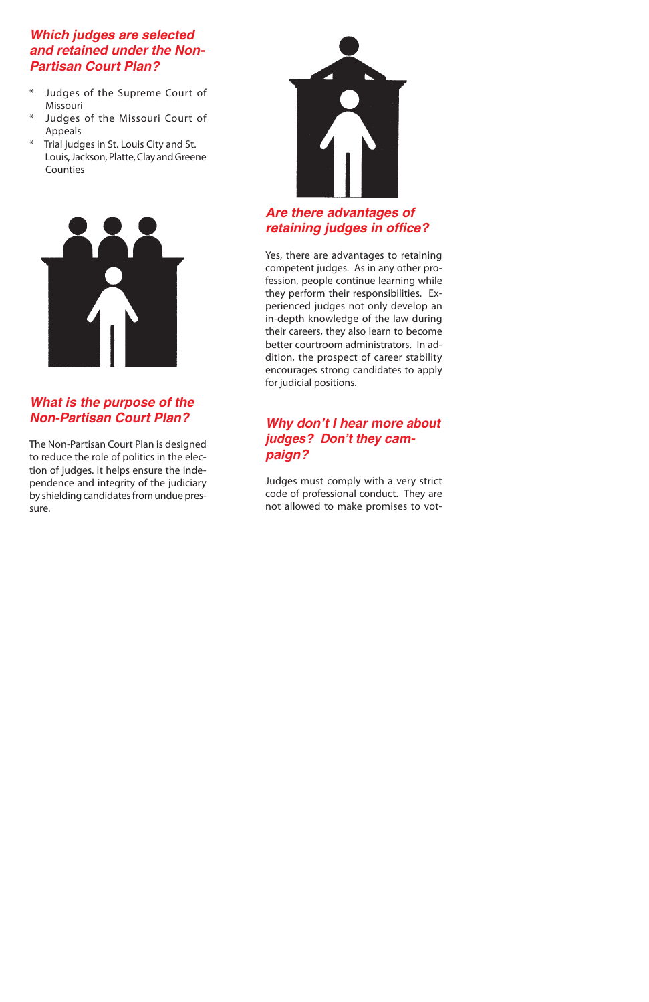#### *Which judges are selected and retained under the Non-Partisan Court Plan?*

- \* Judges of the Supreme Court of Missouri
- \* Judges of the Missouri Court of Appeals
- \* Trial judges in St. Louis City and St. Louis, Jackson, Platte, Clay and Greene **Counties**



#### *What is the purpose of the Non-Partisan Court Plan?*

The Non-Partisan Court Plan is designed to reduce the role of politics in the election of judges. It helps ensure the independence and integrity of the judiciary by shielding candidates from undue pressure.



### *Are there advantages of retaining judges in office?*

Yes, there are advantages to retaining competent judges. As in any other profession, people continue learning while they perform their responsibilities. Experienced judges not only develop an in-depth knowledge of the law during their careers, they also learn to become better courtroom administrators. In addition, the prospect of career stability encourages strong candidates to apply for judicial positions.

# *Why don't I hear more about judges? Don't they campaign?*

Judges must comply with a very strict code of professional conduct. They are not allowed to make promises to vot-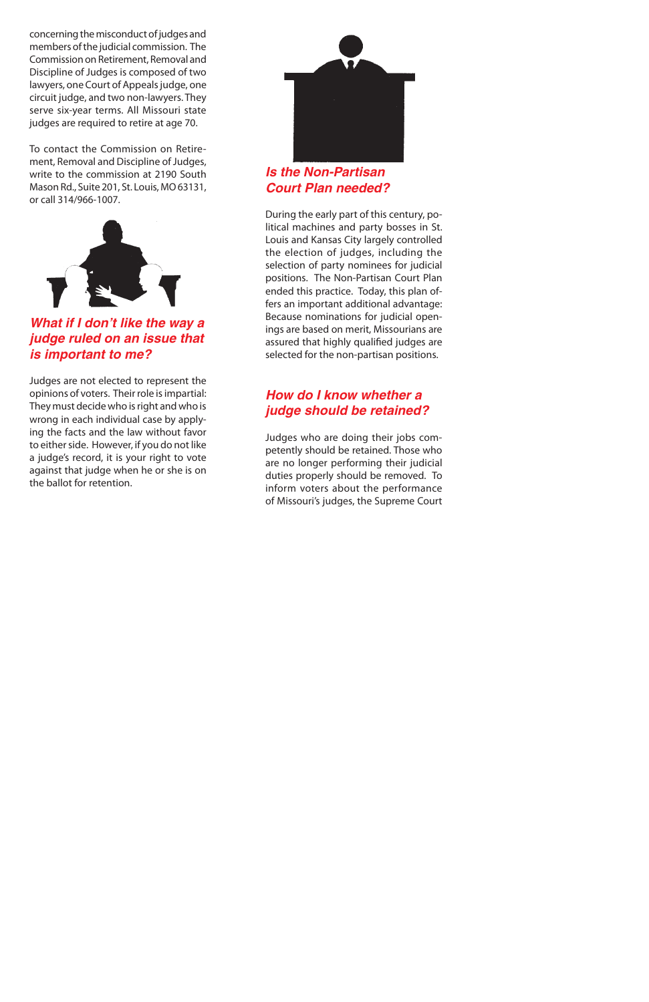

*Is the Non-Partisan Court Plan needed?*

During the early part of this century, political machines and party bosses in St. Louis and Kansas City largely controlled the election of judges, including the selection of party nominees for judicial positions. The Non-Partisan Court Plan ended this practice. Today, this plan offers an important additional advantage: Because nominations for judicial openings are based on merit, Missourians are assured that highly qualified judges are selected for the non-partisan positions.

#### *How do I know whether a judge should be retained?*

Judges who are doing their jobs competently should be retained. Those who are no longer performing their judicial duties properly should be removed. To inform voters about the performance of Missouri's judges, the Supreme Court

concerning the misconduct of judges and members of the judicial commission. The Commission on Retirement, Removal and Discipline of Judges is composed of two lawyers, one Court of Appeals judge, one circuit judge, and two non-lawyers. They serve six-year terms. All Missouri state judges are required to retire at age 70.

To contact the Commission on Retirement, Removal and Discipline of Judges, write to the commission at 2190 South Mason Rd., Suite 201, St. Louis, MO 63131, or call 314/966-1007.



*What if I don't like the way a judge ruled on an issue that is important to me?*

Judges are not elected to represent the opinions of voters. Their role is impartial: They must decide who is right and who is wrong in each individual case by applying the facts and the law without favor to either side. However, if you do not like a judge's record, it is your right to vote against that judge when he or she is on the ballot for retention.